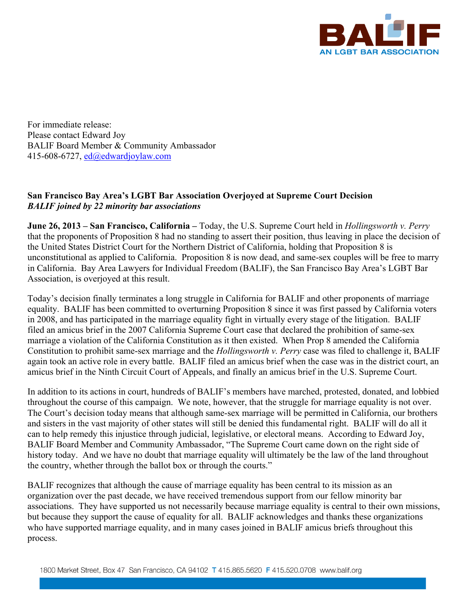

For immediate release: Please contact Edward Joy BALIF Board Member & Community Ambassador 415-608-6727, ed@edwardjoylaw.com

## **San Francisco Bay Area's LGBT Bar Association Overjoyed at Supreme Court Decision**  *BALIF joined by 22 minority bar associations*

**June 26, 2013 – San Francisco, California –** Today, the U.S. Supreme Court held in *Hollingsworth v. Perry* that the proponents of Proposition 8 had no standing to assert their position, thus leaving in place the decision of the United States District Court for the Northern District of California, holding that Proposition 8 is unconstitutional as applied to California. Proposition 8 is now dead, and same-sex couples will be free to marry in California. Bay Area Lawyers for Individual Freedom (BALIF), the San Francisco Bay Area's LGBT Bar Association, is overjoyed at this result.

Today's decision finally terminates a long struggle in California for BALIF and other proponents of marriage equality. BALIF has been committed to overturning Proposition 8 since it was first passed by California voters in 2008, and has participated in the marriage equality fight in virtually every stage of the litigation. BALIF filed an amicus brief in the 2007 California Supreme Court case that declared the prohibition of same-sex marriage a violation of the California Constitution as it then existed. When Prop 8 amended the California Constitution to prohibit same-sex marriage and the *Hollingsworth v. Perry* case was filed to challenge it, BALIF again took an active role in every battle. BALIF filed an amicus brief when the case was in the district court, an amicus brief in the Ninth Circuit Court of Appeals, and finally an amicus brief in the U.S. Supreme Court.

In addition to its actions in court, hundreds of BALIF's members have marched, protested, donated, and lobbied throughout the course of this campaign. We note, however, that the struggle for marriage equality is not over. The Court's decision today means that although same-sex marriage will be permitted in California, our brothers and sisters in the vast majority of other states will still be denied this fundamental right. BALIF will do all it can to help remedy this injustice through judicial, legislative, or electoral means. According to Edward Joy, BALIF Board Member and Community Ambassador, "The Supreme Court came down on the right side of history today. And we have no doubt that marriage equality will ultimately be the law of the land throughout the country, whether through the ballot box or through the courts."

BALIF recognizes that although the cause of marriage equality has been central to its mission as an organization over the past decade, we have received tremendous support from our fellow minority bar associations. They have supported us not necessarily because marriage equality is central to their own missions, but because they support the cause of equality for all. BALIF acknowledges and thanks these organizations who have supported marriage equality, and in many cases joined in BALIF amicus briefs throughout this process.